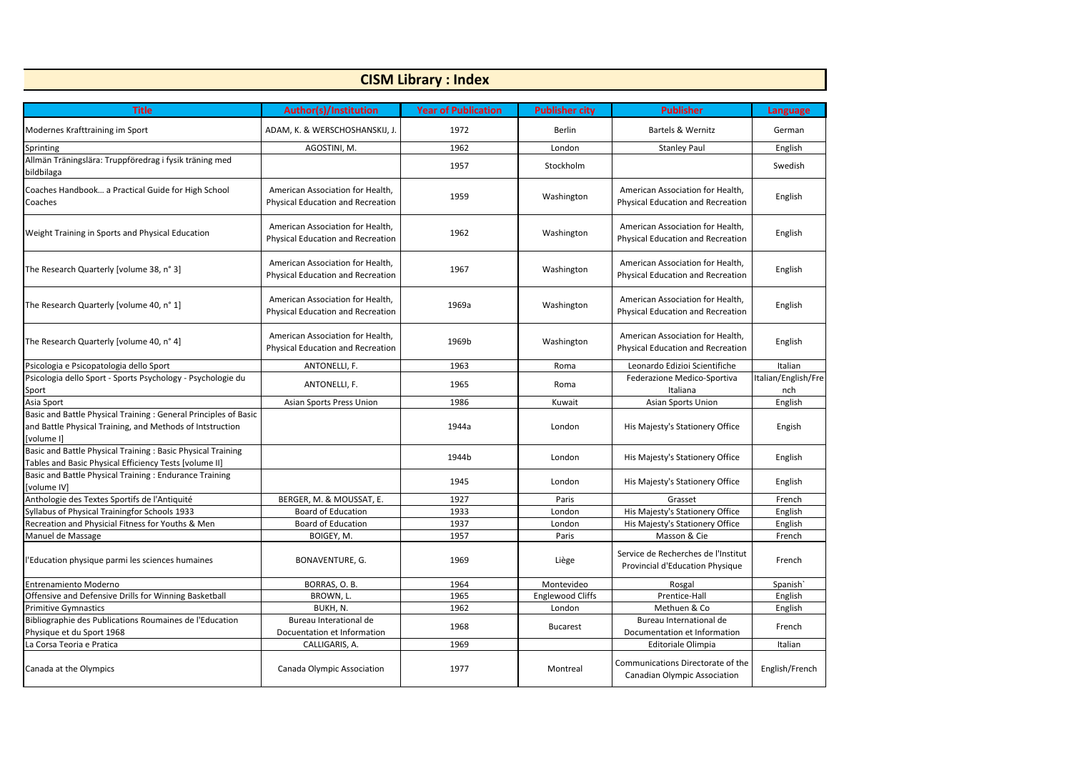| <b>CISM Library: Index</b>                                                                                                                  |                                                                              |                            |                         |                                                                          |                            |  |  |
|---------------------------------------------------------------------------------------------------------------------------------------------|------------------------------------------------------------------------------|----------------------------|-------------------------|--------------------------------------------------------------------------|----------------------------|--|--|
| <b>Title</b>                                                                                                                                | <b>Author(s)/Institution</b>                                                 | <b>Year of Publication</b> | <b>Publisher city</b>   | <b>Publisher</b>                                                         | <b>Language</b>            |  |  |
| Modernes Krafttraining im Sport                                                                                                             | ADAM, K. & WERSCHOSHANSKIJ, J.                                               | 1972                       | <b>Berlin</b>           | Bartels & Wernitz                                                        | German                     |  |  |
| Sprinting                                                                                                                                   | AGOSTINI, M.                                                                 | 1962                       | London                  | <b>Stanley Paul</b>                                                      | English                    |  |  |
| Allmän Träningslära: Truppföredrag i fysik träning med<br>bildbilaga                                                                        |                                                                              | 1957                       | Stockholm               |                                                                          | Swedish                    |  |  |
| Coaches Handbook a Practical Guide for High School<br>Coaches                                                                               | American Association for Health,<br>Physical Education and Recreation        | 1959                       | Washington              | American Association for Health,<br>Physical Education and Recreation    | English                    |  |  |
| Weight Training in Sports and Physical Education                                                                                            | American Association for Health,<br>Physical Education and Recreation        | 1962                       | Washington              | American Association for Health,<br>Physical Education and Recreation    | English                    |  |  |
| The Research Quarterly [volume 38, n° 3]                                                                                                    | American Association for Health,<br>Physical Education and Recreation        | 1967                       | Washington              | American Association for Health,<br>Physical Education and Recreation    | English                    |  |  |
| The Research Quarterly [volume 40, n° 1]                                                                                                    | American Association for Health,<br><b>Physical Education and Recreation</b> | 1969a                      | Washington              | American Association for Health,<br>Physical Education and Recreation    | English                    |  |  |
| The Research Quarterly [volume 40, n° 4]                                                                                                    | American Association for Health,<br>Physical Education and Recreation        | 1969b                      | Washington              | American Association for Health,<br>Physical Education and Recreation    | English                    |  |  |
| Psicologia e Psicopatologia dello Sport                                                                                                     | ANTONELLI, F.                                                                | 1963                       | Roma                    | Leonardo Edizioi Scientifiche                                            | Italian                    |  |  |
| Psicologia dello Sport - Sports Psychology - Psychologie du<br>Sport                                                                        | ANTONELLI, F.                                                                | 1965                       | Roma                    | Federazione Medico-Sportiva<br>Italiana                                  | Italian/English/Fre<br>nch |  |  |
| Asia Sport                                                                                                                                  | Asian Sports Press Union                                                     | 1986                       | Kuwait                  | <b>Asian Sports Union</b>                                                | English                    |  |  |
| Basic and Battle Physical Training : General Principles of Basic<br>and Battle Physical Training, and Methods of Intstruction<br>[volume I] |                                                                              | 1944a                      | London                  | His Majesty's Stationery Office                                          | Engish                     |  |  |
| Basic and Battle Physical Training : Basic Physical Training<br>Tables and Basic Physical Efficiency Tests [volume II]                      |                                                                              | 1944b                      | London                  | His Majesty's Stationery Office                                          | English                    |  |  |
| Basic and Battle Physical Training: Endurance Training<br>[volume IV]                                                                       |                                                                              | 1945                       | London                  | His Majesty's Stationery Office                                          | English                    |  |  |
| Anthologie des Textes Sportifs de l'Antiquité                                                                                               | BERGER, M. & MOUSSAT, E.                                                     | 1927                       | Paris                   | Grasset                                                                  | French                     |  |  |
| Syllabus of Physical Trainingfor Schools 1933                                                                                               | <b>Board of Education</b>                                                    | 1933                       | London                  | His Majesty's Stationery Office                                          | English                    |  |  |
| Recreation and Physicial Fitness for Youths & Men                                                                                           | Board of Education                                                           | 1937                       | London                  | His Majesty's Stationery Office                                          | English                    |  |  |
| Manuel de Massage                                                                                                                           | BOIGEY, M.                                                                   | 1957                       | Paris                   | Masson & Cie                                                             | French                     |  |  |
| l'Education physique parmi les sciences humaines                                                                                            | BONAVENTURE, G.                                                              | 1969                       | Liège                   | Service de Recherches de l'Institut<br>Provincial d'Education Physique   | French                     |  |  |
| Entrenamiento Moderno                                                                                                                       | BORRAS, O.B.                                                                 | 1964                       | Montevideo              | Rosgal                                                                   | Spanish <sup>'</sup>       |  |  |
| Offensive and Defensive Drills for Winning Basketball                                                                                       | BROWN, L.                                                                    | 1965                       | <b>Englewood Cliffs</b> | Prentice-Hall                                                            | English                    |  |  |
| <b>Primitive Gymnastics</b>                                                                                                                 | BUKH, N.                                                                     | 1962                       | London                  | Methuen & Co                                                             | English                    |  |  |
| Bibliographie des Publications Roumaines de l'Education<br>Physique et du Sport 1968                                                        | Bureau Interational de<br>Docuentation et Information                        | 1968                       | <b>Bucarest</b>         | Bureau International de<br>Documentation et Information                  | French                     |  |  |
| La Corsa Teoria e Pratica                                                                                                                   | CALLIGARIS, A.                                                               | 1969                       |                         | Editoriale Olimpia                                                       | Italian                    |  |  |
| Canada at the Olympics                                                                                                                      | Canada Olympic Association                                                   | 1977                       | Montreal                | Communications Directorate of the<br><b>Canadian Olympic Association</b> | English/French             |  |  |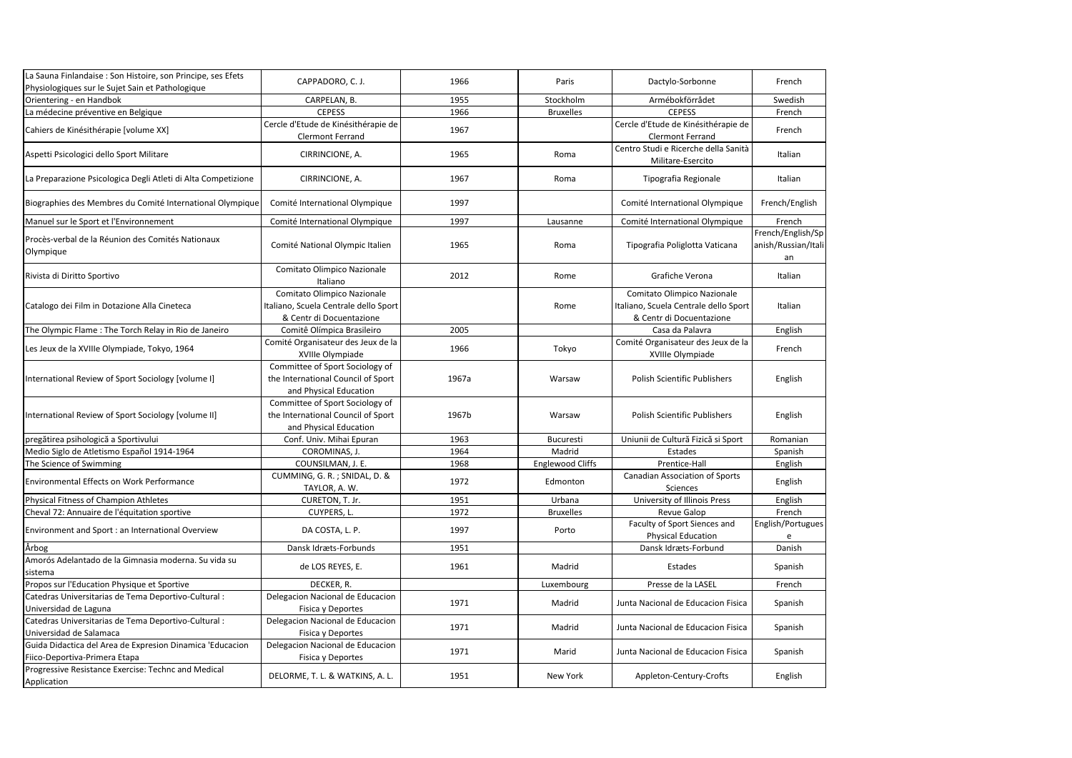| La Sauna Finlandaise : Son Histoire, son Principe, ses Efets<br>Physiologiques sur le Sujet Sain et Pathologique | CAPPADORO, C.J.                                                                                  | 1966  | Paris                   | Dactylo-Sorbonne                                                                                 | French                                         |
|------------------------------------------------------------------------------------------------------------------|--------------------------------------------------------------------------------------------------|-------|-------------------------|--------------------------------------------------------------------------------------------------|------------------------------------------------|
| Orientering - en Handbok                                                                                         | CARPELAN, B.                                                                                     | 1955  | Stockholm               | Armébokförrådet                                                                                  | Swedish                                        |
| La médecine préventive en Belgique                                                                               | <b>CEPESS</b>                                                                                    | 1966  | <b>Bruxelles</b>        | <b>CEPESS</b>                                                                                    | French                                         |
| Cahiers de Kinésithérapie [volume XX]                                                                            | Cercle d'Etude de Kinésithérapie de<br><b>Clermont Ferrand</b>                                   | 1967  |                         | Cercle d'Etude de Kinésithérapie de<br><b>Clermont Ferrand</b>                                   | French                                         |
| Aspetti Psicologici dello Sport Militare                                                                         | CIRRINCIONE, A.                                                                                  | 1965  | Roma                    | Centro Studi e Ricerche della Sanità<br>Militare-Esercito                                        | Italian                                        |
| La Preparazione Psicologica Degli Atleti di Alta Competizione                                                    | CIRRINCIONE, A.                                                                                  | 1967  | Roma                    | Tipografia Regionale                                                                             | Italian                                        |
| Biographies des Membres du Comité International Olympique                                                        | Comité International Olympique                                                                   | 1997  |                         | Comité International Olympique                                                                   | French/English                                 |
| Manuel sur le Sport et l'Environnement                                                                           | Comité International Olympique                                                                   | 1997  | Lausanne                | Comité International Olympique                                                                   | French                                         |
| Procès-verbal de la Réunion des Comités Nationaux<br>Olympique                                                   | Comité National Olympic Italien                                                                  | 1965  | Roma                    | Tipografia Poliglotta Vaticana                                                                   | French/English/Sp<br>anish/Russian/Itali<br>an |
| Rivista di Diritto Sportivo                                                                                      | Comitato Olimpico Nazionale<br>Italiano                                                          | 2012  | Rome                    | Grafiche Verona                                                                                  | Italian                                        |
| Catalogo dei Film in Dotazione Alla Cineteca                                                                     | Comitato Olimpico Nazionale<br>Italiano, Scuela Centrale dello Sport<br>& Centr di Docuentazione |       | Rome                    | Comitato Olimpico Nazionale<br>Italiano, Scuela Centrale dello Sport<br>& Centr di Docuentazione | Italian                                        |
| The Olympic Flame: The Torch Relay in Rio de Janeiro                                                             | Comitê Olímpica Brasileiro                                                                       | 2005  |                         | Casa da Palavra                                                                                  | English                                        |
| Les Jeux de la XVIIIe Olympiade, Tokyo, 1964                                                                     | Comité Organisateur des Jeux de la<br>XVIIIe Olympiade                                           | 1966  | Tokyo                   | Comité Organisateur des Jeux de la<br>XVIIIe Olympiade                                           | French                                         |
| International Review of Sport Sociology [volume I]                                                               | Committee of Sport Sociology of<br>the International Council of Sport<br>and Physical Education  | 1967a | Warsaw                  | Polish Scientific Publishers                                                                     | English                                        |
| International Review of Sport Sociology [volume II]                                                              | Committee of Sport Sociology of<br>the International Council of Sport<br>and Physical Education  | 1967b | Warsaw                  | <b>Polish Scientific Publishers</b>                                                              | English                                        |
| pregătirea psihologică a Sportivului                                                                             | Conf. Univ. Mihai Epuran                                                                         | 1963  | Bucuresti               | Uniunii de Cultură Fizică și Sport                                                               | Romanian                                       |
| Medio Siglo de Atletismo Español 1914-1964                                                                       | COROMINAS, J.                                                                                    | 1964  | Madrid                  | Estades                                                                                          | Spanish                                        |
| The Science of Swimming                                                                                          | COUNSILMAN, J. E.                                                                                | 1968  | <b>Englewood Cliffs</b> | Prentice-Hall                                                                                    | English                                        |
| <b>Environmental Effects on Work Performance</b>                                                                 | CUMMING, G. R.; SNIDAL, D. &<br>TAYLOR, A. W.                                                    | 1972  | Edmonton                | <b>Canadian Association of Sports</b><br>Sciences                                                | English                                        |
| Physical Fitness of Champion Athletes                                                                            | CURETON, T. Jr.                                                                                  | 1951  | Urbana                  | University of Illinois Press                                                                     | English                                        |
| Cheval 72: Annuaire de l'équitation sportive                                                                     | CUYPERS, L.                                                                                      | 1972  | <b>Bruxelles</b>        | Revue Galop                                                                                      | French                                         |
| Environment and Sport : an International Overview                                                                | DA COSTA, L. P.                                                                                  | 1997  | Porto                   | Faculty of Sport Siences and<br><b>Physical Education</b>                                        | English/Portugues<br>e                         |
| Årbog                                                                                                            | Dansk Idræts-Forbunds                                                                            | 1951  |                         | Dansk Idræts-Forbund                                                                             | Danish                                         |
| Amorós Adelantado de la Gimnasia moderna. Su vida su<br>sistema                                                  | de LOS REYES, E.                                                                                 | 1961  | Madrid                  | Estades                                                                                          | Spanish                                        |
| Propos sur l'Education Physique et Sportive                                                                      | DECKER, R.                                                                                       |       | Luxembourg              | Presse de la LASEL                                                                               | French                                         |
| Catedras Universitarias de Tema Deportivo-Cultural :<br>Universidad de Laguna                                    | Delegacion Nacional de Educacion<br>Fisica y Deportes                                            | 1971  | Madrid                  | Junta Nacional de Educacion Fisica                                                               | Spanish                                        |
| Catedras Universitarias de Tema Deportivo-Cultural :<br>Universidad de Salamaca                                  | Delegacion Nacional de Educacion<br>Fisica y Deportes                                            | 1971  | Madrid                  | Junta Nacional de Educacion Fisica                                                               | Spanish                                        |
| Guida Didactica del Area de Expresion Dinamica 'Educacion<br>Fiico-Deportiva-Primera Etapa                       | Delegacion Nacional de Educacion<br>Fisica y Deportes                                            | 1971  | Marid                   | Junta Nacional de Educacion Fisica                                                               | Spanish                                        |
| Progressive Resistance Exercise: Technc and Medical<br>Application                                               | DELORME, T. L. & WATKINS, A. L.                                                                  | 1951  | New York                | Appleton-Century-Crofts                                                                          | English                                        |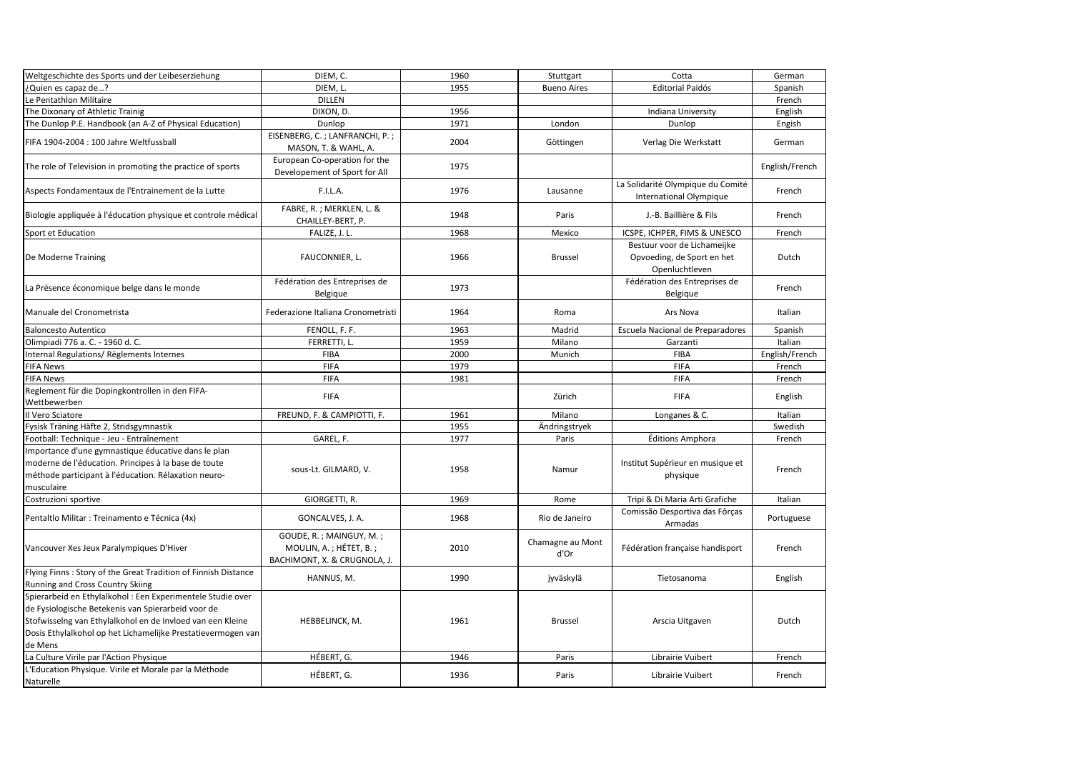| Weltgeschichte des Sports und der Leibeserziehung<br>DIEM, C.<br>1960<br>Stuttgart<br>Cotta<br>German<br>DIEM, L.<br>¿Quien es capaz de?<br>1955<br><b>Bueno Aires</b><br><b>Editorial Paidós</b><br>Spanish<br>Le Pentathlon Militaire<br><b>DILLEN</b><br>French<br>The Dixonary of Athletic Trainig<br>Indiana University<br>English<br>DIXON, D.<br>1956<br>The Dunlop P.E. Handbook (an A-Z of Physical Education)<br>1971<br>Dunlop<br>London<br>Dunlop<br>Engish<br>EISENBERG, C.; LANFRANCHI, P.;<br>2004<br>FIFA 1904-2004 : 100 Jahre Weltfussball<br>Verlag Die Werkstatt<br>Göttingen<br>German<br>MASON, T. & WAHL, A.<br>European Co-operation for the<br>1975<br>English/French<br>The role of Television in promoting the practice of sports<br>Developement of Sport for All<br>La Solidarité Olympique du Comité<br>1976<br>Aspects Fondamentaux de l'Entrainement de la Lutte<br>F.I.L.A.<br>Lausanne<br>French<br>International Olympique<br>FABRE, R.; MERKLEN, L. &<br>Biologie appliquée à l'éducation physique et controle médical<br>1948<br>Paris<br>J.-B. Baillière & Fils<br>French<br>CHAILLEY-BERT, P.<br>FALIZE, J. L.<br>1968<br>Sport et Education<br>ICSPE, ICHPER, FIMS & UNESCO<br>French<br>Mexico<br>Bestuur voor de Lichameijke<br>1966<br>Opvoeding, de Sport en het<br>FAUCONNIER, L.<br><b>Brussel</b><br>Dutch<br>De Moderne Training<br>Openluchtleven<br>Fédération des Entreprises de<br>Fédération des Entreprises de<br>1973<br>French<br>La Présence économique belge dans le monde<br>Belgique<br>Belgique<br>Federazione Italiana Cronometristi<br>1964<br>Ars Nova<br>Italian<br>Manuale del Cronometrista<br>Roma<br><b>Baloncesto Autentico</b><br>FENOLL, F. F.<br>1963<br>Escuela Nacional de Preparadores<br>Spanish<br>Madrid<br>Olimpiadi 776 a. C. - 1960 d. C.<br>FERRETTI, L.<br>1959<br>Italian<br>Milano<br>Garzanti<br>2000<br>Internal Regulations/Règlements Internes<br><b>FIBA</b><br>Munich<br><b>FIBA</b><br>English/French<br><b>FIFA</b><br>1979<br><b>FIFA</b><br><b>FIFA News</b><br>French<br><b>FIFA</b><br><b>FIFA News</b><br><b>FIFA</b><br>1981<br>French<br>Reglement für die Dopingkontrollen in den FIFA-<br><b>FIFA</b><br><b>FIFA</b><br>English<br>Zürich<br>Wettbewerben<br>FREUND, F. & CAMPIOTTI, F.<br>1961<br>Longanes & C.<br>Italian<br>Il Vero Sciatore<br>Milano<br>Swedish<br>Fysisk Träning Häfte 2, Stridsgymnastik<br>1955<br>Ändringstryek<br>Football: Technique - Jeu - Entraînement<br>1977<br>Éditions Amphora<br>French<br>GAREL, F.<br>Paris<br>Importance d'une gymnastique éducative dans le plan<br>moderne de l'éducation. Principes à la base de toute<br>Institut Supérieur en musique et<br>1958<br>sous-Lt. GILMARD, V.<br>Namur<br>French<br>méthode participant à l'éducation. Rélaxation neuro-<br>physique<br>musculaire<br>Costruzioni sportive<br>GIORGETTI, R.<br>1969<br>Tripi & Di Maria Arti Grafiche<br>Italian<br>Rome<br>Comissão Desportiva das Fôrças<br>GONCALVES, J. A.<br>1968<br>Pentaltlo Militar : Treinamento e Técnica (4x)<br>Rio de Janeiro<br>Portuguese<br>Armadas<br>GOUDE, R.; MAINGUY, M.;<br>Chamagne au Mont<br>MOULIN, A.; HÉTET, B.;<br>2010<br>Fédération française handisport<br>French<br>Vancouver Xes Jeux Paralympiques D'Hiver<br>d'Or<br>BACHIMONT, X. & CRUGNOLA, J.<br>Flying Finns: Story of the Great Tradition of Finnish Distance<br>HANNUS, M.<br>1990<br>jyväskylä<br>Tietosanoma<br>English<br>Running and Cross Country Skiing<br>Spierarbeid en Ethylalkohol : Een Experimentele Studie over<br>de Fysiologische Betekenis van Spierarbeid voor de<br>Stofwisselng van Ethylalkohol en de Invloed van een Kleine<br>1961<br>HEBBELINCK, M.<br>Arscia Uitgaven<br>Dutch<br><b>Brussel</b><br>Dosis Ethylalkohol op het Lichamelijke Prestatievermogen van<br>de Mens<br>HÉBERT, G.<br>La Culture Virile par l'Action Physique<br>1946<br>Librairie Vuibert<br>Paris<br>French<br>L'Education Physique. Virile et Morale par la Méthode<br>HÉBERT, G.<br>1936<br>Paris<br>Librairie Vuibert<br>French<br>Naturelle |  |  |  |
|------------------------------------------------------------------------------------------------------------------------------------------------------------------------------------------------------------------------------------------------------------------------------------------------------------------------------------------------------------------------------------------------------------------------------------------------------------------------------------------------------------------------------------------------------------------------------------------------------------------------------------------------------------------------------------------------------------------------------------------------------------------------------------------------------------------------------------------------------------------------------------------------------------------------------------------------------------------------------------------------------------------------------------------------------------------------------------------------------------------------------------------------------------------------------------------------------------------------------------------------------------------------------------------------------------------------------------------------------------------------------------------------------------------------------------------------------------------------------------------------------------------------------------------------------------------------------------------------------------------------------------------------------------------------------------------------------------------------------------------------------------------------------------------------------------------------------------------------------------------------------------------------------------------------------------------------------------------------------------------------------------------------------------------------------------------------------------------------------------------------------------------------------------------------------------------------------------------------------------------------------------------------------------------------------------------------------------------------------------------------------------------------------------------------------------------------------------------------------------------------------------------------------------------------------------------------------------------------------------------------------------------------------------------------------------------------------------------------------------------------------------------------------------------------------------------------------------------------------------------------------------------------------------------------------------------------------------------------------------------------------------------------------------------------------------------------------------------------------------------------------------------------------------------------------------------------------------------------------------------------------------------------------------------------------------------------------------------------------------------------------------------------------------------------------------------------------------------------------------------------------------------------------------------------------------------------------------------------------------------------------------------------------------------------------------------------------------------------------------------------------------------------------------------------------------------------------------------------------------------------------------------------------------------------------------------------------------------------------------------------------------------------------------------------------------------------------------------|--|--|--|
|                                                                                                                                                                                                                                                                                                                                                                                                                                                                                                                                                                                                                                                                                                                                                                                                                                                                                                                                                                                                                                                                                                                                                                                                                                                                                                                                                                                                                                                                                                                                                                                                                                                                                                                                                                                                                                                                                                                                                                                                                                                                                                                                                                                                                                                                                                                                                                                                                                                                                                                                                                                                                                                                                                                                                                                                                                                                                                                                                                                                                                                                                                                                                                                                                                                                                                                                                                                                                                                                                                                                                                                                                                                                                                                                                                                                                                                                                                                                                                                                                                                                                          |  |  |  |
|                                                                                                                                                                                                                                                                                                                                                                                                                                                                                                                                                                                                                                                                                                                                                                                                                                                                                                                                                                                                                                                                                                                                                                                                                                                                                                                                                                                                                                                                                                                                                                                                                                                                                                                                                                                                                                                                                                                                                                                                                                                                                                                                                                                                                                                                                                                                                                                                                                                                                                                                                                                                                                                                                                                                                                                                                                                                                                                                                                                                                                                                                                                                                                                                                                                                                                                                                                                                                                                                                                                                                                                                                                                                                                                                                                                                                                                                                                                                                                                                                                                                                          |  |  |  |
|                                                                                                                                                                                                                                                                                                                                                                                                                                                                                                                                                                                                                                                                                                                                                                                                                                                                                                                                                                                                                                                                                                                                                                                                                                                                                                                                                                                                                                                                                                                                                                                                                                                                                                                                                                                                                                                                                                                                                                                                                                                                                                                                                                                                                                                                                                                                                                                                                                                                                                                                                                                                                                                                                                                                                                                                                                                                                                                                                                                                                                                                                                                                                                                                                                                                                                                                                                                                                                                                                                                                                                                                                                                                                                                                                                                                                                                                                                                                                                                                                                                                                          |  |  |  |
|                                                                                                                                                                                                                                                                                                                                                                                                                                                                                                                                                                                                                                                                                                                                                                                                                                                                                                                                                                                                                                                                                                                                                                                                                                                                                                                                                                                                                                                                                                                                                                                                                                                                                                                                                                                                                                                                                                                                                                                                                                                                                                                                                                                                                                                                                                                                                                                                                                                                                                                                                                                                                                                                                                                                                                                                                                                                                                                                                                                                                                                                                                                                                                                                                                                                                                                                                                                                                                                                                                                                                                                                                                                                                                                                                                                                                                                                                                                                                                                                                                                                                          |  |  |  |
|                                                                                                                                                                                                                                                                                                                                                                                                                                                                                                                                                                                                                                                                                                                                                                                                                                                                                                                                                                                                                                                                                                                                                                                                                                                                                                                                                                                                                                                                                                                                                                                                                                                                                                                                                                                                                                                                                                                                                                                                                                                                                                                                                                                                                                                                                                                                                                                                                                                                                                                                                                                                                                                                                                                                                                                                                                                                                                                                                                                                                                                                                                                                                                                                                                                                                                                                                                                                                                                                                                                                                                                                                                                                                                                                                                                                                                                                                                                                                                                                                                                                                          |  |  |  |
|                                                                                                                                                                                                                                                                                                                                                                                                                                                                                                                                                                                                                                                                                                                                                                                                                                                                                                                                                                                                                                                                                                                                                                                                                                                                                                                                                                                                                                                                                                                                                                                                                                                                                                                                                                                                                                                                                                                                                                                                                                                                                                                                                                                                                                                                                                                                                                                                                                                                                                                                                                                                                                                                                                                                                                                                                                                                                                                                                                                                                                                                                                                                                                                                                                                                                                                                                                                                                                                                                                                                                                                                                                                                                                                                                                                                                                                                                                                                                                                                                                                                                          |  |  |  |
|                                                                                                                                                                                                                                                                                                                                                                                                                                                                                                                                                                                                                                                                                                                                                                                                                                                                                                                                                                                                                                                                                                                                                                                                                                                                                                                                                                                                                                                                                                                                                                                                                                                                                                                                                                                                                                                                                                                                                                                                                                                                                                                                                                                                                                                                                                                                                                                                                                                                                                                                                                                                                                                                                                                                                                                                                                                                                                                                                                                                                                                                                                                                                                                                                                                                                                                                                                                                                                                                                                                                                                                                                                                                                                                                                                                                                                                                                                                                                                                                                                                                                          |  |  |  |
|                                                                                                                                                                                                                                                                                                                                                                                                                                                                                                                                                                                                                                                                                                                                                                                                                                                                                                                                                                                                                                                                                                                                                                                                                                                                                                                                                                                                                                                                                                                                                                                                                                                                                                                                                                                                                                                                                                                                                                                                                                                                                                                                                                                                                                                                                                                                                                                                                                                                                                                                                                                                                                                                                                                                                                                                                                                                                                                                                                                                                                                                                                                                                                                                                                                                                                                                                                                                                                                                                                                                                                                                                                                                                                                                                                                                                                                                                                                                                                                                                                                                                          |  |  |  |
|                                                                                                                                                                                                                                                                                                                                                                                                                                                                                                                                                                                                                                                                                                                                                                                                                                                                                                                                                                                                                                                                                                                                                                                                                                                                                                                                                                                                                                                                                                                                                                                                                                                                                                                                                                                                                                                                                                                                                                                                                                                                                                                                                                                                                                                                                                                                                                                                                                                                                                                                                                                                                                                                                                                                                                                                                                                                                                                                                                                                                                                                                                                                                                                                                                                                                                                                                                                                                                                                                                                                                                                                                                                                                                                                                                                                                                                                                                                                                                                                                                                                                          |  |  |  |
|                                                                                                                                                                                                                                                                                                                                                                                                                                                                                                                                                                                                                                                                                                                                                                                                                                                                                                                                                                                                                                                                                                                                                                                                                                                                                                                                                                                                                                                                                                                                                                                                                                                                                                                                                                                                                                                                                                                                                                                                                                                                                                                                                                                                                                                                                                                                                                                                                                                                                                                                                                                                                                                                                                                                                                                                                                                                                                                                                                                                                                                                                                                                                                                                                                                                                                                                                                                                                                                                                                                                                                                                                                                                                                                                                                                                                                                                                                                                                                                                                                                                                          |  |  |  |
|                                                                                                                                                                                                                                                                                                                                                                                                                                                                                                                                                                                                                                                                                                                                                                                                                                                                                                                                                                                                                                                                                                                                                                                                                                                                                                                                                                                                                                                                                                                                                                                                                                                                                                                                                                                                                                                                                                                                                                                                                                                                                                                                                                                                                                                                                                                                                                                                                                                                                                                                                                                                                                                                                                                                                                                                                                                                                                                                                                                                                                                                                                                                                                                                                                                                                                                                                                                                                                                                                                                                                                                                                                                                                                                                                                                                                                                                                                                                                                                                                                                                                          |  |  |  |
|                                                                                                                                                                                                                                                                                                                                                                                                                                                                                                                                                                                                                                                                                                                                                                                                                                                                                                                                                                                                                                                                                                                                                                                                                                                                                                                                                                                                                                                                                                                                                                                                                                                                                                                                                                                                                                                                                                                                                                                                                                                                                                                                                                                                                                                                                                                                                                                                                                                                                                                                                                                                                                                                                                                                                                                                                                                                                                                                                                                                                                                                                                                                                                                                                                                                                                                                                                                                                                                                                                                                                                                                                                                                                                                                                                                                                                                                                                                                                                                                                                                                                          |  |  |  |
|                                                                                                                                                                                                                                                                                                                                                                                                                                                                                                                                                                                                                                                                                                                                                                                                                                                                                                                                                                                                                                                                                                                                                                                                                                                                                                                                                                                                                                                                                                                                                                                                                                                                                                                                                                                                                                                                                                                                                                                                                                                                                                                                                                                                                                                                                                                                                                                                                                                                                                                                                                                                                                                                                                                                                                                                                                                                                                                                                                                                                                                                                                                                                                                                                                                                                                                                                                                                                                                                                                                                                                                                                                                                                                                                                                                                                                                                                                                                                                                                                                                                                          |  |  |  |
|                                                                                                                                                                                                                                                                                                                                                                                                                                                                                                                                                                                                                                                                                                                                                                                                                                                                                                                                                                                                                                                                                                                                                                                                                                                                                                                                                                                                                                                                                                                                                                                                                                                                                                                                                                                                                                                                                                                                                                                                                                                                                                                                                                                                                                                                                                                                                                                                                                                                                                                                                                                                                                                                                                                                                                                                                                                                                                                                                                                                                                                                                                                                                                                                                                                                                                                                                                                                                                                                                                                                                                                                                                                                                                                                                                                                                                                                                                                                                                                                                                                                                          |  |  |  |
|                                                                                                                                                                                                                                                                                                                                                                                                                                                                                                                                                                                                                                                                                                                                                                                                                                                                                                                                                                                                                                                                                                                                                                                                                                                                                                                                                                                                                                                                                                                                                                                                                                                                                                                                                                                                                                                                                                                                                                                                                                                                                                                                                                                                                                                                                                                                                                                                                                                                                                                                                                                                                                                                                                                                                                                                                                                                                                                                                                                                                                                                                                                                                                                                                                                                                                                                                                                                                                                                                                                                                                                                                                                                                                                                                                                                                                                                                                                                                                                                                                                                                          |  |  |  |
|                                                                                                                                                                                                                                                                                                                                                                                                                                                                                                                                                                                                                                                                                                                                                                                                                                                                                                                                                                                                                                                                                                                                                                                                                                                                                                                                                                                                                                                                                                                                                                                                                                                                                                                                                                                                                                                                                                                                                                                                                                                                                                                                                                                                                                                                                                                                                                                                                                                                                                                                                                                                                                                                                                                                                                                                                                                                                                                                                                                                                                                                                                                                                                                                                                                                                                                                                                                                                                                                                                                                                                                                                                                                                                                                                                                                                                                                                                                                                                                                                                                                                          |  |  |  |
|                                                                                                                                                                                                                                                                                                                                                                                                                                                                                                                                                                                                                                                                                                                                                                                                                                                                                                                                                                                                                                                                                                                                                                                                                                                                                                                                                                                                                                                                                                                                                                                                                                                                                                                                                                                                                                                                                                                                                                                                                                                                                                                                                                                                                                                                                                                                                                                                                                                                                                                                                                                                                                                                                                                                                                                                                                                                                                                                                                                                                                                                                                                                                                                                                                                                                                                                                                                                                                                                                                                                                                                                                                                                                                                                                                                                                                                                                                                                                                                                                                                                                          |  |  |  |
|                                                                                                                                                                                                                                                                                                                                                                                                                                                                                                                                                                                                                                                                                                                                                                                                                                                                                                                                                                                                                                                                                                                                                                                                                                                                                                                                                                                                                                                                                                                                                                                                                                                                                                                                                                                                                                                                                                                                                                                                                                                                                                                                                                                                                                                                                                                                                                                                                                                                                                                                                                                                                                                                                                                                                                                                                                                                                                                                                                                                                                                                                                                                                                                                                                                                                                                                                                                                                                                                                                                                                                                                                                                                                                                                                                                                                                                                                                                                                                                                                                                                                          |  |  |  |
|                                                                                                                                                                                                                                                                                                                                                                                                                                                                                                                                                                                                                                                                                                                                                                                                                                                                                                                                                                                                                                                                                                                                                                                                                                                                                                                                                                                                                                                                                                                                                                                                                                                                                                                                                                                                                                                                                                                                                                                                                                                                                                                                                                                                                                                                                                                                                                                                                                                                                                                                                                                                                                                                                                                                                                                                                                                                                                                                                                                                                                                                                                                                                                                                                                                                                                                                                                                                                                                                                                                                                                                                                                                                                                                                                                                                                                                                                                                                                                                                                                                                                          |  |  |  |
|                                                                                                                                                                                                                                                                                                                                                                                                                                                                                                                                                                                                                                                                                                                                                                                                                                                                                                                                                                                                                                                                                                                                                                                                                                                                                                                                                                                                                                                                                                                                                                                                                                                                                                                                                                                                                                                                                                                                                                                                                                                                                                                                                                                                                                                                                                                                                                                                                                                                                                                                                                                                                                                                                                                                                                                                                                                                                                                                                                                                                                                                                                                                                                                                                                                                                                                                                                                                                                                                                                                                                                                                                                                                                                                                                                                                                                                                                                                                                                                                                                                                                          |  |  |  |
|                                                                                                                                                                                                                                                                                                                                                                                                                                                                                                                                                                                                                                                                                                                                                                                                                                                                                                                                                                                                                                                                                                                                                                                                                                                                                                                                                                                                                                                                                                                                                                                                                                                                                                                                                                                                                                                                                                                                                                                                                                                                                                                                                                                                                                                                                                                                                                                                                                                                                                                                                                                                                                                                                                                                                                                                                                                                                                                                                                                                                                                                                                                                                                                                                                                                                                                                                                                                                                                                                                                                                                                                                                                                                                                                                                                                                                                                                                                                                                                                                                                                                          |  |  |  |
|                                                                                                                                                                                                                                                                                                                                                                                                                                                                                                                                                                                                                                                                                                                                                                                                                                                                                                                                                                                                                                                                                                                                                                                                                                                                                                                                                                                                                                                                                                                                                                                                                                                                                                                                                                                                                                                                                                                                                                                                                                                                                                                                                                                                                                                                                                                                                                                                                                                                                                                                                                                                                                                                                                                                                                                                                                                                                                                                                                                                                                                                                                                                                                                                                                                                                                                                                                                                                                                                                                                                                                                                                                                                                                                                                                                                                                                                                                                                                                                                                                                                                          |  |  |  |
|                                                                                                                                                                                                                                                                                                                                                                                                                                                                                                                                                                                                                                                                                                                                                                                                                                                                                                                                                                                                                                                                                                                                                                                                                                                                                                                                                                                                                                                                                                                                                                                                                                                                                                                                                                                                                                                                                                                                                                                                                                                                                                                                                                                                                                                                                                                                                                                                                                                                                                                                                                                                                                                                                                                                                                                                                                                                                                                                                                                                                                                                                                                                                                                                                                                                                                                                                                                                                                                                                                                                                                                                                                                                                                                                                                                                                                                                                                                                                                                                                                                                                          |  |  |  |
|                                                                                                                                                                                                                                                                                                                                                                                                                                                                                                                                                                                                                                                                                                                                                                                                                                                                                                                                                                                                                                                                                                                                                                                                                                                                                                                                                                                                                                                                                                                                                                                                                                                                                                                                                                                                                                                                                                                                                                                                                                                                                                                                                                                                                                                                                                                                                                                                                                                                                                                                                                                                                                                                                                                                                                                                                                                                                                                                                                                                                                                                                                                                                                                                                                                                                                                                                                                                                                                                                                                                                                                                                                                                                                                                                                                                                                                                                                                                                                                                                                                                                          |  |  |  |
|                                                                                                                                                                                                                                                                                                                                                                                                                                                                                                                                                                                                                                                                                                                                                                                                                                                                                                                                                                                                                                                                                                                                                                                                                                                                                                                                                                                                                                                                                                                                                                                                                                                                                                                                                                                                                                                                                                                                                                                                                                                                                                                                                                                                                                                                                                                                                                                                                                                                                                                                                                                                                                                                                                                                                                                                                                                                                                                                                                                                                                                                                                                                                                                                                                                                                                                                                                                                                                                                                                                                                                                                                                                                                                                                                                                                                                                                                                                                                                                                                                                                                          |  |  |  |
|                                                                                                                                                                                                                                                                                                                                                                                                                                                                                                                                                                                                                                                                                                                                                                                                                                                                                                                                                                                                                                                                                                                                                                                                                                                                                                                                                                                                                                                                                                                                                                                                                                                                                                                                                                                                                                                                                                                                                                                                                                                                                                                                                                                                                                                                                                                                                                                                                                                                                                                                                                                                                                                                                                                                                                                                                                                                                                                                                                                                                                                                                                                                                                                                                                                                                                                                                                                                                                                                                                                                                                                                                                                                                                                                                                                                                                                                                                                                                                                                                                                                                          |  |  |  |
|                                                                                                                                                                                                                                                                                                                                                                                                                                                                                                                                                                                                                                                                                                                                                                                                                                                                                                                                                                                                                                                                                                                                                                                                                                                                                                                                                                                                                                                                                                                                                                                                                                                                                                                                                                                                                                                                                                                                                                                                                                                                                                                                                                                                                                                                                                                                                                                                                                                                                                                                                                                                                                                                                                                                                                                                                                                                                                                                                                                                                                                                                                                                                                                                                                                                                                                                                                                                                                                                                                                                                                                                                                                                                                                                                                                                                                                                                                                                                                                                                                                                                          |  |  |  |
|                                                                                                                                                                                                                                                                                                                                                                                                                                                                                                                                                                                                                                                                                                                                                                                                                                                                                                                                                                                                                                                                                                                                                                                                                                                                                                                                                                                                                                                                                                                                                                                                                                                                                                                                                                                                                                                                                                                                                                                                                                                                                                                                                                                                                                                                                                                                                                                                                                                                                                                                                                                                                                                                                                                                                                                                                                                                                                                                                                                                                                                                                                                                                                                                                                                                                                                                                                                                                                                                                                                                                                                                                                                                                                                                                                                                                                                                                                                                                                                                                                                                                          |  |  |  |
|                                                                                                                                                                                                                                                                                                                                                                                                                                                                                                                                                                                                                                                                                                                                                                                                                                                                                                                                                                                                                                                                                                                                                                                                                                                                                                                                                                                                                                                                                                                                                                                                                                                                                                                                                                                                                                                                                                                                                                                                                                                                                                                                                                                                                                                                                                                                                                                                                                                                                                                                                                                                                                                                                                                                                                                                                                                                                                                                                                                                                                                                                                                                                                                                                                                                                                                                                                                                                                                                                                                                                                                                                                                                                                                                                                                                                                                                                                                                                                                                                                                                                          |  |  |  |
|                                                                                                                                                                                                                                                                                                                                                                                                                                                                                                                                                                                                                                                                                                                                                                                                                                                                                                                                                                                                                                                                                                                                                                                                                                                                                                                                                                                                                                                                                                                                                                                                                                                                                                                                                                                                                                                                                                                                                                                                                                                                                                                                                                                                                                                                                                                                                                                                                                                                                                                                                                                                                                                                                                                                                                                                                                                                                                                                                                                                                                                                                                                                                                                                                                                                                                                                                                                                                                                                                                                                                                                                                                                                                                                                                                                                                                                                                                                                                                                                                                                                                          |  |  |  |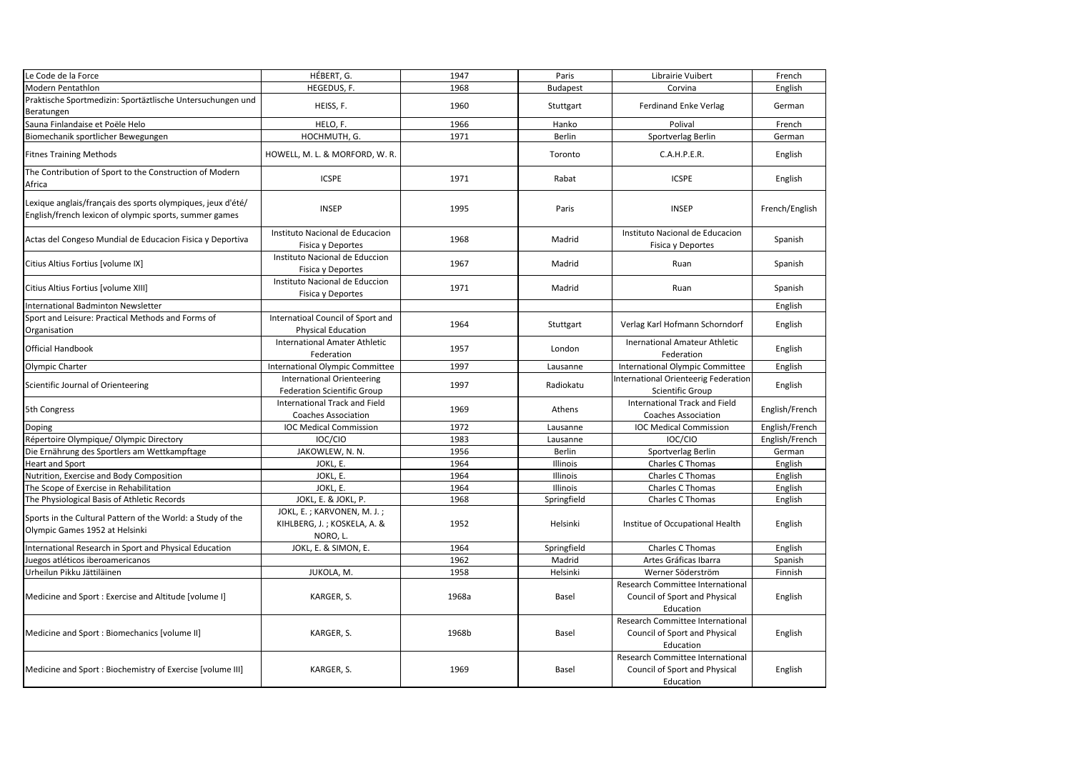| Le Code de la Force                                                                                                   | HÉBERT, G.                                                              | 1947  | Paris           | Librairie Vuibert                                                              | French         |
|-----------------------------------------------------------------------------------------------------------------------|-------------------------------------------------------------------------|-------|-----------------|--------------------------------------------------------------------------------|----------------|
| Modern Pentathlon                                                                                                     | HEGEDUS, F.                                                             | 1968  | <b>Budapest</b> | Corvina                                                                        | English        |
| Praktische Sportmedizin: Sportäztlische Untersuchungen und                                                            |                                                                         |       |                 |                                                                                |                |
| Beratungen                                                                                                            | HEISS, F.                                                               | 1960  | Stuttgart       | <b>Ferdinand Enke Verlag</b>                                                   | German         |
| Sauna Finlandaise et Poële Helo                                                                                       | HELO, F.                                                                | 1966  | Hanko           | Polival                                                                        | French         |
| Biomechanik sportlicher Bewegungen                                                                                    | HOCHMUTH, G.                                                            | 1971  | Berlin          | Sportverlag Berlin                                                             | German         |
| <b>Fitnes Training Methods</b>                                                                                        | HOWELL, M. L. & MORFORD, W. R.                                          |       | Toronto         | C.A.H.P.E.R.                                                                   | English        |
| The Contribution of Sport to the Construction of Modern<br>Africa                                                     | <b>ICSPE</b>                                                            | 1971  | Rabat           | <b>ICSPE</b>                                                                   | English        |
| Lexique anglais/français des sports olympiques, jeux d'été/<br>English/french lexicon of olympic sports, summer games | <b>INSEP</b>                                                            | 1995  | Paris           | <b>INSEP</b>                                                                   | French/English |
| Actas del Congeso Mundial de Educacion Fisica y Deportiva                                                             | Instituto Nacional de Educacion<br>Fisica y Deportes                    | 1968  | Madrid          | Instituto Nacional de Educacion<br>Fisica y Deportes                           | Spanish        |
| Citius Altius Fortius [volume IX]                                                                                     | Instituto Nacional de Educcion<br>Fisica y Deportes                     | 1967  | Madrid          | Ruan                                                                           | Spanish        |
| Citius Altius Fortius [volume XIII]                                                                                   | Instituto Nacional de Educcion<br>Fisica y Deportes                     | 1971  | Madrid          | Ruan                                                                           | Spanish        |
| International Badminton Newsletter                                                                                    |                                                                         |       |                 |                                                                                | English        |
| Sport and Leisure: Practical Methods and Forms of<br>Organisation                                                     | Internatioal Council of Sport and<br><b>Physical Education</b>          | 1964  | Stuttgart       | Verlag Karl Hofmann Schorndorf                                                 | English        |
| <b>Official Handbook</b>                                                                                              | International Amater Athletic<br>Federation                             | 1957  | London          | Inernational Amateur Athletic<br>Federation                                    | English        |
| Olympic Charter                                                                                                       | <b>International Olympic Committee</b>                                  | 1997  | Lausanne        | International Olympic Committee                                                | English        |
| Scientific Journal of Orienteering                                                                                    | <b>International Orienteering</b><br><b>Federation Scientific Group</b> | 1997  | Radiokatu       | International Orienteerig Federation<br>Scientific Group                       | English        |
| 5th Congress                                                                                                          | International Track and Field<br><b>Coaches Association</b>             | 1969  | Athens          | International Track and Field<br><b>Coaches Association</b>                    | English/French |
| Doping                                                                                                                | <b>IOC Medical Commission</b>                                           | 1972  | Lausanne        | <b>IOC Medical Commission</b>                                                  | English/French |
| Répertoire Olympique/ Olympic Directory                                                                               | IOC/CIO                                                                 | 1983  | Lausanne        | IOC/CIO                                                                        | English/French |
| Die Ernährung des Sportlers am Wettkampftage                                                                          | JAKOWLEW, N. N.                                                         | 1956  | Berlin          | Sportverlag Berlin                                                             | German         |
| <b>Heart and Sport</b>                                                                                                | JOKL, E.                                                                | 1964  | Illinois        | Charles C Thomas                                                               | English        |
| Nutrition, Exercise and Body Composition                                                                              | JOKL, E.                                                                | 1964  | Illinois        | Charles C Thomas                                                               | English        |
| The Scope of Exercise in Rehabilitation                                                                               | JOKL. E.                                                                | 1964  | Illinois        | Charles C Thomas                                                               | English        |
| The Physiological Basis of Athletic Records                                                                           | JOKL, E. & JOKL, P.                                                     | 1968  | Springfield     | Charles C Thomas                                                               | English        |
| Sports in the Cultural Pattern of the World: a Study of the<br>Olympic Games 1952 at Helsinki                         | JOKL, E.; KARVONEN, M. J.;<br>KIHLBERG, J.; KOSKELA, A. &<br>NORO, L.   | 1952  | Helsinki        | Institue of Occupational Health                                                | English        |
| International Research in Sport and Physical Education                                                                | JOKL, E. & SIMON, E.                                                    | 1964  | Springfield     | Charles C Thomas                                                               | English        |
| Juegos atléticos iberoamericanos                                                                                      |                                                                         | 1962  | Madrid          | Artes Gráficas Ibarra                                                          | Spanish        |
| Urheilun Pikku Jättiläinen                                                                                            | JUKOLA, M.                                                              | 1958  | Helsinki        | Werner Söderström                                                              | Finnish        |
| Medicine and Sport: Exercise and Altitude [volume I]                                                                  | KARGER, S.                                                              | 1968a | Basel           | Research Committee International<br>Council of Sport and Physical<br>Education | English        |
| Medicine and Sport: Biomechanics [volume II]                                                                          | KARGER, S.                                                              | 1968b | Basel           | Research Committee International<br>Council of Sport and Physical<br>Education | English        |
| Medicine and Sport: Biochemistry of Exercise [volume III]                                                             | KARGER, S.                                                              | 1969  | Basel           | Research Committee International<br>Council of Sport and Physical<br>Education | English        |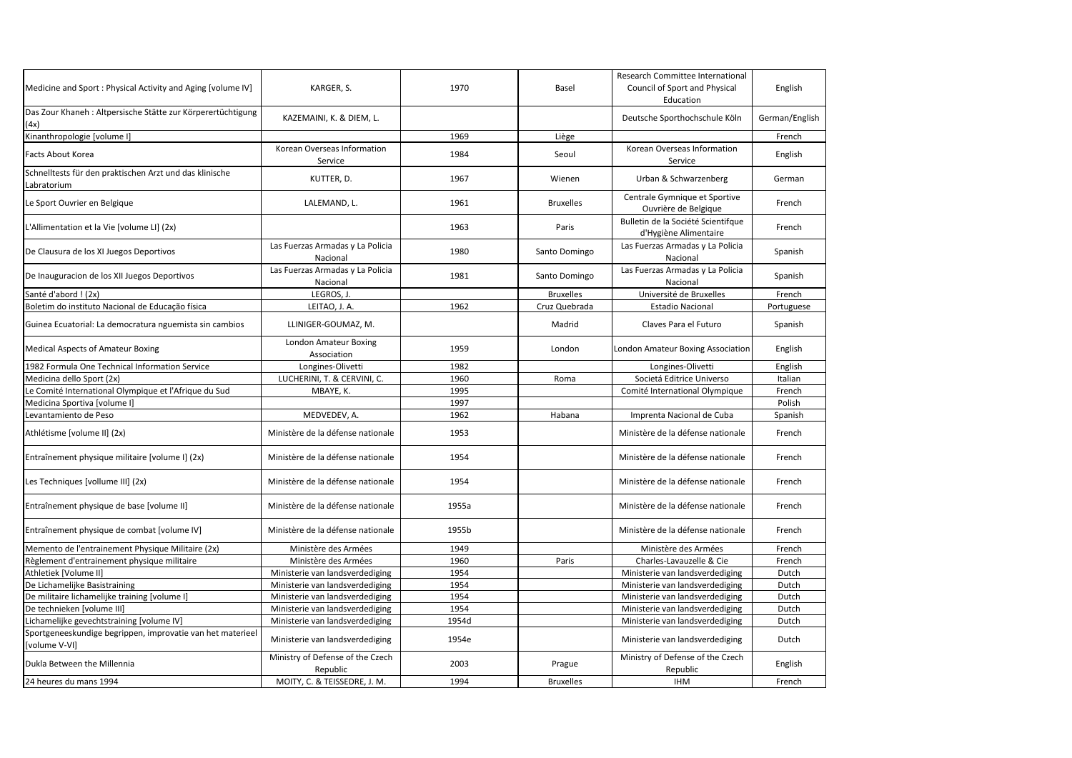| Medicine and Sport: Physical Activity and Aging [volume IV]                 | KARGER, S.                                   | 1970  | Basel            | Research Committee International<br>Council of Sport and Physical<br>Education | English        |
|-----------------------------------------------------------------------------|----------------------------------------------|-------|------------------|--------------------------------------------------------------------------------|----------------|
| Das Zour Khaneh : Altpersische Stätte zur Körperertüchtigung<br>(4x)        | KAZEMAINI, K. & DIEM, L.                     |       |                  | Deutsche Sporthochschule Köln                                                  | German/English |
| Kinanthropologie [volume I]                                                 |                                              | 1969  | Liège            |                                                                                | French         |
| Facts About Korea                                                           | Korean Overseas Information<br>Service       | 1984  | Seoul            | Korean Overseas Information<br>Service                                         | English        |
| Schnelltests für den praktischen Arzt und das klinische<br>Labratorium      | KUTTER, D.                                   | 1967  | Wienen           | Urban & Schwarzenberg                                                          | German         |
| Le Sport Ouvrier en Belgique                                                | LALEMAND, L.                                 | 1961  | <b>Bruxelles</b> | Centrale Gymnique et Sportive<br>Ouvrière de Belgique                          | French         |
| L'Allimentation et la Vie [volume LI] (2x)                                  |                                              | 1963  | Paris            | Bulletin de la Société Scientifque<br>d'Hygiène Alimentaire                    | French         |
| De Clausura de los XI Juegos Deportivos                                     | Las Fuerzas Armadas y La Policia<br>Nacional | 1980  | Santo Domingo    | Las Fuerzas Armadas y La Policia<br>Nacional                                   | Spanish        |
| De Inauguracion de los XII Juegos Deportivos                                | Las Fuerzas Armadas y La Policia<br>Nacional | 1981  | Santo Domingo    | Las Fuerzas Armadas y La Policia<br>Nacional                                   | Spanish        |
| Santé d'abord ! (2x)                                                        | LEGROS, J.                                   |       | <b>Bruxelles</b> | Université de Bruxelles                                                        | French         |
| Boletim do instituto Nacional de Educação física                            | LEITAO, J. A.                                | 1962  | Cruz Quebrada    | <b>Estadio Nacional</b>                                                        | Portuguese     |
| Guinea Ecuatorial: La democratura nguemista sin cambios                     | LLINIGER-GOUMAZ, M.                          |       | Madrid           | Claves Para el Futuro                                                          | Spanish        |
| <b>Medical Aspects of Amateur Boxing</b>                                    | London Amateur Boxing<br>Association         | 1959  | London           | London Amateur Boxing Association                                              | English        |
| 1982 Formula One Technical Information Service                              | Longines-Olivetti                            | 1982  |                  | Longines-Olivetti                                                              | English        |
| Medicina dello Sport (2x)                                                   | LUCHERINI, T. & CERVINI, C.                  | 1960  | Roma             | Societá Editrice Universo                                                      | Italian        |
| Le Comité International Olympique et l'Afrique du Sud                       | MBAYE, K.                                    | 1995  |                  | Comité International Olympique                                                 | French         |
| Medicina Sportiva [volume I]                                                |                                              | 1997  |                  |                                                                                | Polish         |
| Levantamiento de Peso                                                       | MEDVEDEV, A.                                 | 1962  | Habana           | Imprenta Nacional de Cuba                                                      | Spanish        |
| Athlétisme [volume II] (2x)                                                 | Ministère de la défense nationale            | 1953  |                  | Ministère de la défense nationale                                              | French         |
| Entraînement physique militaire [volume I] (2x)                             | Ministère de la défense nationale            | 1954  |                  | Ministère de la défense nationale                                              | French         |
| Les Techniques [vollume III] (2x)                                           | Ministère de la défense nationale            | 1954  |                  | Ministère de la défense nationale                                              | French         |
| Entraînement physique de base [volume II]                                   | Ministère de la défense nationale            | 1955a |                  | Ministère de la défense nationale                                              | French         |
| Entraînement physique de combat [volume IV]                                 | Ministère de la défense nationale            | 1955b |                  | Ministère de la défense nationale                                              | French         |
| Memento de l'entrainement Physique Militaire (2x)                           | Ministère des Armées                         | 1949  |                  | Ministère des Armées                                                           | French         |
| Règlement d'entrainement physique militaire                                 | Ministère des Armées                         | 1960  | Paris            | Charles-Lavauzelle & Cie                                                       | French         |
| Athletiek [Volume II]                                                       | Ministerie van landsverdediging              | 1954  |                  | Ministerie van landsverdediging                                                | Dutch          |
| De Lichamelijke Basistraining                                               | Ministerie van landsverdediging              | 1954  |                  | Ministerie van landsverdediging                                                | Dutch          |
| De militaire lichamelijke training [volume I]                               | Ministerie van landsverdediging              | 1954  |                  | Ministerie van landsverdediging                                                | Dutch          |
| De technieken [volume III]                                                  | Ministerie van landsverdediging              | 1954  |                  | Ministerie van landsverdediging                                                | Dutch          |
| Lichamelijke gevechtstraining [volume IV]                                   | Ministerie van landsverdediging              | 1954d |                  | Ministerie van landsverdediging                                                | Dutch          |
| Sportgeneeskundige begrippen, improvatie van het materieel<br>[volume V-VI] | Ministerie van landsverdediging              | 1954e |                  | Ministerie van landsverdediging                                                | Dutch          |
| Dukla Between the Millennia                                                 | Ministry of Defense of the Czech<br>Republic | 2003  | Prague           | Ministry of Defense of the Czech<br>Republic                                   | English        |
| 24 heures du mans 1994                                                      | MOITY, C. & TEISSEDRE, J. M.                 | 1994  | <b>Bruxelles</b> | <b>IHM</b>                                                                     | French         |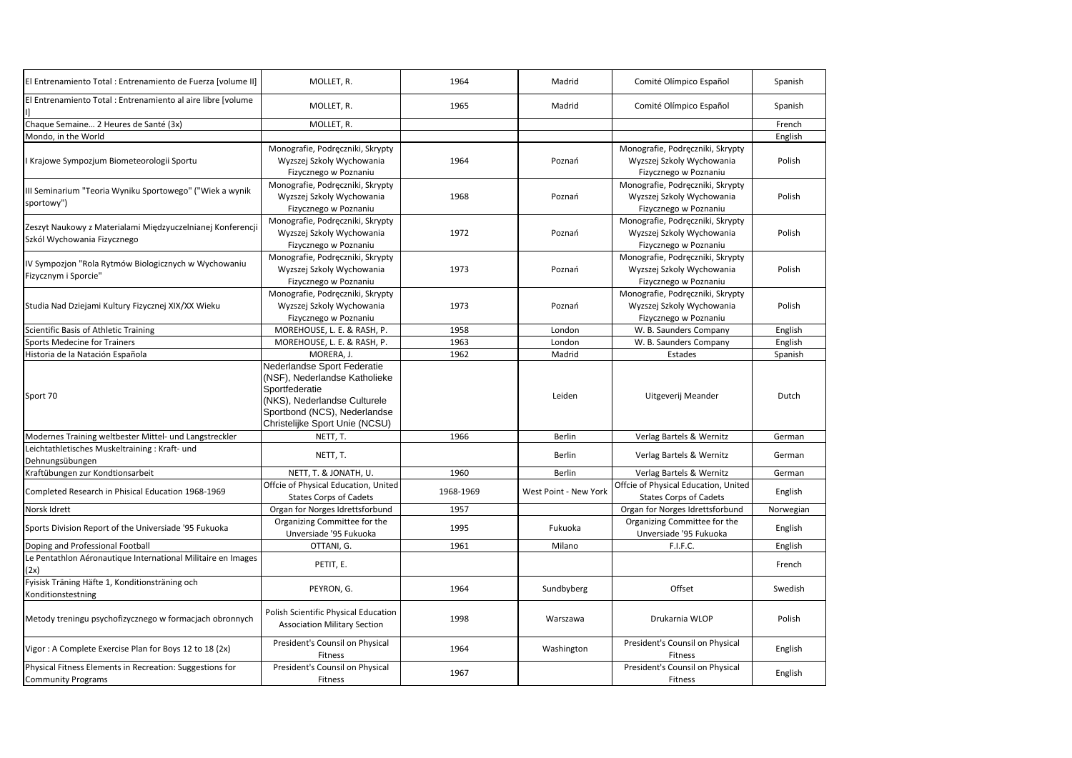| El Entrenamiento Total : Entrenamiento de Fuerza [volume II]                              | MOLLET, R.                                                                                                                                                                       | 1964      | Madrid                | Comité Olímpico Español                                                                | Spanish   |
|-------------------------------------------------------------------------------------------|----------------------------------------------------------------------------------------------------------------------------------------------------------------------------------|-----------|-----------------------|----------------------------------------------------------------------------------------|-----------|
| El Entrenamiento Total : Entrenamiento al aire libre [volume                              | MOLLET, R.                                                                                                                                                                       | 1965      | Madrid                | Comité Olímpico Español                                                                | Spanish   |
| Chaque Semaine 2 Heures de Santé (3x)                                                     | MOLLET, R.                                                                                                                                                                       |           |                       |                                                                                        | French    |
| Mondo, in the World                                                                       |                                                                                                                                                                                  |           |                       |                                                                                        | English   |
| I Krajowe Sympozjum Biometeorologii Sportu                                                | Monografie, Podręczniki, Skrypty<br>Wyzszej Szkoly Wychowania<br>Fizycznego w Poznaniu                                                                                           | 1964      | Poznań                | Monografie, Podręczniki, Skrypty<br>Wyzszej Szkoly Wychowania<br>Fizycznego w Poznaniu | Polish    |
| III Seminarium "Teoria Wyniku Sportowego" ("Wiek a wynik<br>sportowy")                    | Monografie, Podręczniki, Skrypty<br>Wyzszej Szkoly Wychowania<br>Fizycznego w Poznaniu                                                                                           | 1968      | Poznań                | Monografie, Podręczniki, Skrypty<br>Wyzszej Szkoly Wychowania<br>Fizycznego w Poznaniu | Polish    |
| Zeszyt Naukowy z Materialami Międzyuczelnianej Konferencji<br>Szkól Wychowania Fizycznego | Monografie, Podręczniki, Skrypty<br>Wyzszej Szkoly Wychowania<br>Fizycznego w Poznaniu                                                                                           | 1972      | Poznań                | Monografie, Podręczniki, Skrypty<br>Wyzszej Szkoly Wychowania<br>Fizycznego w Poznaniu | Polish    |
| IV Sympozjon "Rola Rytmów Biologicznych w Wychowaniu<br>Fizycznym i Sporcie"              | Monografie, Podręczniki, Skrypty<br>Wyzszej Szkoly Wychowania<br>Fizycznego w Poznaniu                                                                                           | 1973      | Poznań                | Monografie, Podręczniki, Skrypty<br>Wyzszej Szkoly Wychowania<br>Fizycznego w Poznaniu | Polish    |
| Studia Nad Dziejami Kultury Fizycznej XIX/XX Wieku                                        | Monografie, Podręczniki, Skrypty<br>Wyzszej Szkoly Wychowania<br>Fizycznego w Poznaniu                                                                                           | 1973      | Poznań                | Monografie, Podręczniki, Skrypty<br>Wyzszej Szkoly Wychowania<br>Fizycznego w Poznaniu | Polish    |
| Scientific Basis of Athletic Training                                                     | MOREHOUSE, L. E. & RASH, P.                                                                                                                                                      | 1958      | London                | W. B. Saunders Company                                                                 | English   |
| Sports Medecine for Trainers                                                              | MOREHOUSE, L. E. & RASH, P.                                                                                                                                                      | 1963      | London                | W. B. Saunders Company                                                                 | English   |
| Historia de la Natación Española                                                          | MORERA, J.                                                                                                                                                                       | 1962      | Madrid                | Estades                                                                                | Spanish   |
| Sport 70                                                                                  | Nederlandse Sport Federatie<br>(NSF), Nederlandse Katholieke<br>Sportfederatie<br>(NKS), Nederlandse Culturele<br>Sportbond (NCS), Nederlandse<br>Christelijke Sport Unie (NCSU) |           | Leiden                | Uitgeverij Meander                                                                     | Dutch     |
| Modernes Training weltbester Mittel- und Langstreckler                                    | NETT, T.                                                                                                                                                                         | 1966      | Berlin                | Verlag Bartels & Wernitz                                                               | German    |
| Leichtathletisches Muskeltraining: Kraft- und<br>Dehnungsübungen                          | NETT, T.                                                                                                                                                                         |           | Berlin                | Verlag Bartels & Wernitz                                                               | German    |
| Kraftübungen zur Kondtionsarbeit                                                          | NETT, T. & JONATH, U.                                                                                                                                                            | 1960      | Berlin                | Verlag Bartels & Wernitz                                                               | German    |
| Completed Research in Phisical Education 1968-1969                                        | Offcie of Physical Education, United<br><b>States Corps of Cadets</b>                                                                                                            | 1968-1969 | West Point - New York | Offcie of Physical Education, United<br><b>States Corps of Cadets</b>                  | English   |
| Norsk Idrett                                                                              | Organ for Norges Idrettsforbund                                                                                                                                                  | 1957      |                       | Organ for Norges Idrettsforbund                                                        | Norwegian |
| Sports Division Report of the Universiade '95 Fukuoka                                     | Organizing Committee for the<br>Unversiade '95 Fukuoka                                                                                                                           | 1995      | Fukuoka               | Organizing Committee for the<br>Unversiade '95 Fukuoka                                 | English   |
| Doping and Professional Football                                                          | OTTANI, G.                                                                                                                                                                       | 1961      | Milano                | F.I.F.C.                                                                               | English   |
| Le Pentathlon Aéronautique International Militaire en Images<br>(2x)                      | PETIT, E.                                                                                                                                                                        |           |                       |                                                                                        | French    |
| Fyisisk Träning Häfte 1, Konditionsträning och<br>Konditionstestning                      | PEYRON, G.                                                                                                                                                                       | 1964      | Sundbyberg            | Offset                                                                                 | Swedish   |
| Metody treningu psychofizycznego w formacjach obronnych                                   | Polish Scientific Physical Education<br><b>Association Military Section</b>                                                                                                      | 1998      | Warszawa              | Drukarnia WLOP                                                                         | Polish    |
| Vigor: A Complete Exercise Plan for Boys 12 to 18 (2x)                                    | President's Counsil on Physical<br>Fitness                                                                                                                                       | 1964      | Washington            | President's Counsil on Physical<br>Fitness                                             | English   |
| Physical Fitness Elements in Recreation: Suggestions for<br><b>Community Programs</b>     | President's Counsil on Physical<br>Fitness                                                                                                                                       | 1967      |                       | President's Counsil on Physical<br>Fitness                                             | English   |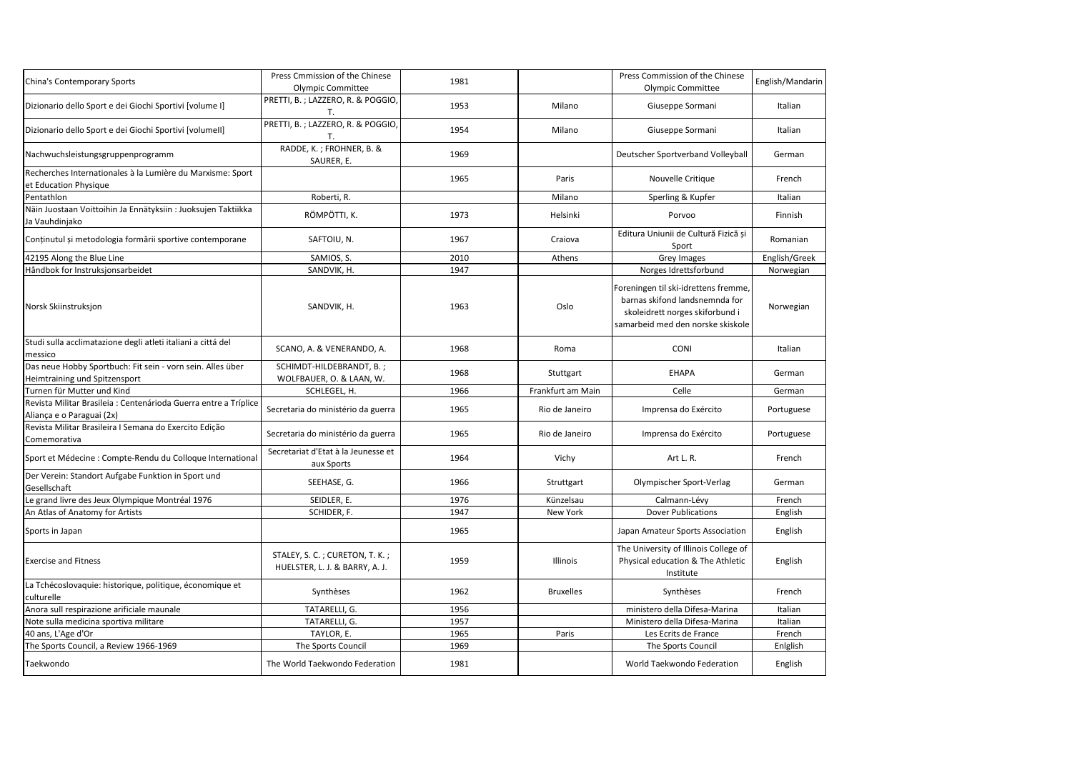| China's Contemporary Sports                                                                   | Press Cmmission of the Chinese<br><b>Olympic Committee</b>       | 1981 |                   | Press Commission of the Chinese<br>Olympic Committee                                                                                           | English/Mandarin |
|-----------------------------------------------------------------------------------------------|------------------------------------------------------------------|------|-------------------|------------------------------------------------------------------------------------------------------------------------------------------------|------------------|
| Dizionario dello Sport e dei Giochi Sportivi [volume I]                                       | PRETTI, B.; LAZZERO, R. & POGGIO,<br>Т.                          | 1953 | Milano            | Giuseppe Sormani                                                                                                                               | Italian          |
| Dizionario dello Sport e dei Giochi Sportivi [volumell]                                       | PRETTI, B.; LAZZERO, R. & POGGIO,<br>Т.                          | 1954 | Milano            | Giuseppe Sormani                                                                                                                               | Italian          |
| Nachwuchsleistungsgruppenprogramm                                                             | RADDE, K.; FROHNER, B. &<br>SAURER, E.                           | 1969 |                   | Deutscher Sportverband Volleyball                                                                                                              | German           |
| Recherches Internationales à la Lumière du Marxisme: Sport<br>et Education Physique           |                                                                  | 1965 | Paris             | Nouvelle Critique                                                                                                                              | French           |
| Pentathlon                                                                                    | Roberti, R.                                                      |      | Milano            | Sperling & Kupfer                                                                                                                              | Italian          |
| Näin Juostaan Voittoihin Ja Ennätyksiin : Juoksujen Taktiikka<br>Ja Vauhdinjako               | RÖMPÖTTI, K.                                                     | 1973 | Helsinki          | Porvoo                                                                                                                                         | Finnish          |
| Conținutul și metodologia formării sportive contemporane                                      | SAFTOIU, N.                                                      | 1967 | Craiova           | Editura Uniunii de Cultură Fizică și<br>Sport                                                                                                  | Romanian         |
| 42195 Along the Blue Line                                                                     | SAMIOS, S.                                                       | 2010 | Athens            | Grey Images                                                                                                                                    | English/Greek    |
| Håndbok for Instruksjonsarbeidet                                                              | SANDVIK, H.                                                      | 1947 |                   | Norges Idrettsforbund                                                                                                                          | Norwegian        |
| Norsk Skiinstruksjon                                                                          | SANDVIK, H.                                                      | 1963 | Oslo              | Foreningen til ski-idrettens fremme,<br>barnas skifond landsnemnda for<br>skoleidrett norges skiforbund i<br>samarbeid med den norske skiskole | Norwegian        |
| Studi sulla acclimatazione degli atleti italiani a cittá del<br>messico                       | SCANO, A. & VENERANDO, A.                                        | 1968 | Roma              | <b>CONI</b>                                                                                                                                    | Italian          |
| Das neue Hobby Sportbuch: Fit sein - vorn sein. Alles über<br>Heimtraining und Spitzensport   | SCHIMDT-HILDEBRANDT. B.:<br>WOLFBAUER, O. & LAAN, W.             | 1968 | Stuttgart         | <b>EHAPA</b>                                                                                                                                   | German           |
| Turnen für Mutter und Kind                                                                    | SCHLEGEL, H.                                                     | 1966 | Frankfurt am Main | Celle                                                                                                                                          | German           |
| Revista Militar Brasileia : Centenárioda Guerra entre a Tríplice<br>Aliança e o Paraguai (2x) | Secretaria do ministério da guerra                               | 1965 | Rio de Janeiro    | Imprensa do Exército                                                                                                                           | Portuguese       |
| Revista Militar Brasileira I Semana do Exercito Edição<br>Comemorativa                        | Secretaria do ministério da guerra                               | 1965 | Rio de Janeiro    | Imprensa do Exército                                                                                                                           | Portuguese       |
| Sport et Médecine : Compte-Rendu du Colloque International                                    | Secretariat d'Etat à la Jeunesse et<br>aux Sports                | 1964 | Vichy             | Art L. R.                                                                                                                                      | French           |
| Der Verein: Standort Aufgabe Funktion in Sport und<br>Gesellschaft                            | SEEHASE, G.                                                      | 1966 | Struttgart        | Olympischer Sport-Verlag                                                                                                                       | German           |
| Le grand livre des Jeux Olympique Montréal 1976                                               | SEIDLER, E.                                                      | 1976 | Künzelsau         | Calmann-Lévy                                                                                                                                   | French           |
| An Atlas of Anatomy for Artists                                                               | SCHIDER, F.                                                      | 1947 | New York          | <b>Dover Publications</b>                                                                                                                      | English          |
| Sports in Japan                                                                               |                                                                  | 1965 |                   | Japan Amateur Sports Association                                                                                                               | English          |
| <b>Exercise and Fitness</b>                                                                   | STALEY, S. C.; CURETON, T. K.;<br>HUELSTER, L. J. & BARRY, A. J. | 1959 | Illinois          | The University of Illinois College of<br>Physical education & The Athletic<br>Institute                                                        | English          |
| La Tchécoslovaquie: historique, politique, économique et<br>culturelle                        | Synthèses                                                        | 1962 | <b>Bruxelles</b>  | Synthèses                                                                                                                                      | French           |
| Anora sull respirazione arificiale maunale                                                    | TATARELLI, G.                                                    | 1956 |                   | ministero della Difesa-Marina                                                                                                                  | Italian          |
| Note sulla medicina sportiva militare                                                         | TATARELLI, G.                                                    | 1957 |                   | Ministero della Difesa-Marina                                                                                                                  | Italian          |
| 40 ans, L'Age d'Or                                                                            | TAYLOR, E.                                                       | 1965 | Paris             | Les Ecrits de France                                                                                                                           | French           |
| The Sports Council, a Review 1966-1969                                                        | The Sports Council                                               | 1969 |                   | The Sports Council                                                                                                                             | Enlglish         |
| Taekwondo                                                                                     | The World Taekwondo Federation                                   | 1981 |                   | World Taekwondo Federation                                                                                                                     | English          |